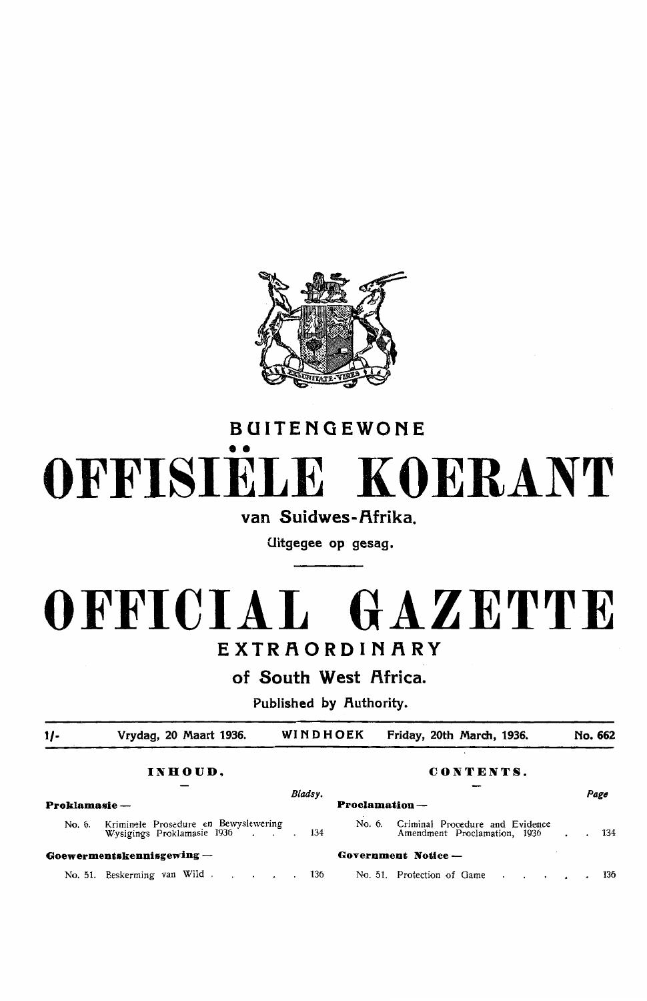

# BUITENGEWONE •• **OFFISIELE KOERANT**

### van Suidwes-Afrika.

Uitgegee op gesag.

## **OFFICIAL GAZETTE**  EXTRAORDINARY

of South West Africa.

Published by Authority.

| $1/-$         | Vrydag, 20 Maart 1936.                                             | WINDHOEK |               | Friday, 20th March, 1936.                                       | No. 662 |     |
|---------------|--------------------------------------------------------------------|----------|---------------|-----------------------------------------------------------------|---------|-----|
|               | INHOUD,                                                            |          |               | CONTENTS.                                                       |         |     |
| Proklamasie — |                                                                    | Bladsy.  | Proclamation- |                                                                 | Page    |     |
| No. 6.        | Kriminele Prosedure en Bewyslewering<br>Wysigings Proklamasie 1936 | 134      | No. 6.        | Criminal Procedure and Evidence<br>Amendment Proclamation, 1936 |         | 134 |
|               | Goewermentskennisgewing-                                           |          |               | Government Notice -                                             |         |     |
|               | No. 51. Beskerming van Wild                                        | 136      |               | No. 51. Protection of Game                                      |         | 136 |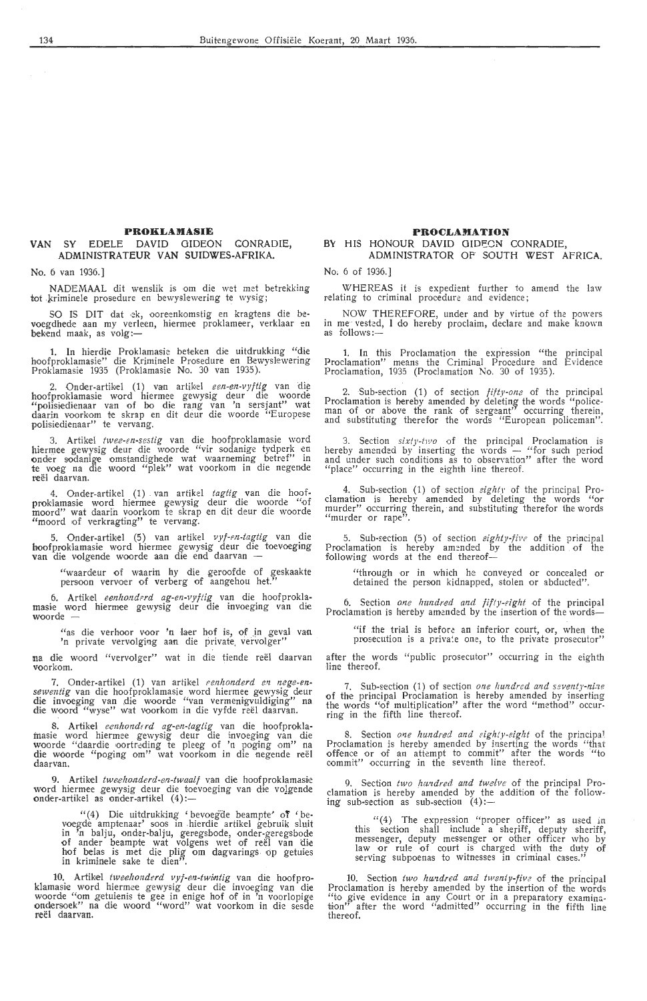#### **PROKLAMASIE**

#### VAN SY EDELE DAVID GIDEON CONRADIE, ADMINISTRATEUR VAN SUIDWES-AFRIKA.

No. 6 van 1936.]

NADEMAAL dit wenslik is om die wet met betrekking tot kriminele prosedure en bewyslewering te wysig;

SO IS DIT dat ek, ooreenkomstig en kragtens die bevoegdhede aan my verleen, hiermee proklameer, verklaar en bekend maak, as  $volg$ :-

1. In hierdie Proklamasie beteken die uitdrukking "die hoofproklamasie" die Kriminele Prosedure en Bewyslewering Proklamasie 1935 (Proklamasie No. 30 van 1935).

2. Onder-artikel (1) van artikel *een-en-vyftig* van die hoofproklamasie word hiermee gewysig deur die woorde "polisiedienaar van of bo die rang van 'n sersjant" wat daarin voorkom te skrap en dit deur die woorde "Europese polisiedienaar" te vervang.

3. Artikel twee-en-sestig van die hoofproklamasie word hiermee gewysig deur die woorde "vir sodanige tydperk en onder sodanige omstandighede wat waarneming betref" in te voeg na die woord "plek" wat voorkom in die negende reël daarvan.

4. Onder-artikel (1) van artikel *tagtig* van die hoof-<br>proklamasie word hiermee gewysig deur die woorde "of moord" wat daarin voorkom te skrap en dit deur die woorde "moord of verkragting" te vervang.

5. Onder-artikel (5) van artikel *vyf-en-tagtig* van die hoofproklamasie word hiermee gewysig deur die toevoeging **van** die volgende woorde aan di•e end daarvan

"waardeur of waarin hy die geroofde of geskaakte persoon vervoer of verberg of aangehou het."

6. Artikel *eenhonderd ag-en-vyftig* van die hoofproklamasie word hiermee gewysig deur die invoeging van die woorde -

"as die verhoor voor 'n laer hof is, of in geval van 'n private vervolging aan die private vervolger"

na die woord "vervolger" wat in die tiende reel daarvan voorkom.

7. Onder-artikel (1) van artikel *eenhonderd en nege-en- sewentig* van die hoofproklamasie word hiermee gewysig deur die invoeging van die woorde "van vermenigvuldiging" na die woord "wyse" wat voorkom in die vyfde reël daarvan.

8. Artikel *eenhonderd ag-en-tagtig* van die hoofproklamasie word hiermee gewysig deur die invoeging van die woorde "daardie oortreding te pleeg of 'n poging om" na die woorde "poging om" wat voorkom in die negende reel daarvan.

9. Artikel *tweehonderd-en-twaalf* van die hoofproklamasie word hiermee gewysig deur die toevoeging van die vo<u>lg</u>ende<br>onder-artikel as onder-artikel (4):—

" (4) Die uitdrukking 'bevoegde beampte' of 'be-<br>voegde amptenaar' soos in hierdie artikel gebruik sluit in 'n balju, onder-balju, geregsbode, onder-geregsbode<br>of ander beampte wat volgens wet of reël van die hof belas is met die plig om dagvarings op getuies in kriminele sake te dien<sup>17</sup>.

10. Artikel tweehonderd vyf-en-twintig van die hoofproklamasie word hiermee gewysig deur die invoeging van die woorde "om getuienis te gee in enige hof of in 'n voorlopige ondersoek" na die woord "word" wat voorkom in die sesde reël daarvan.

#### **PROCLAMATION**

#### **BY** HIS HONOUR **DAVID** OIDECN CONRADIE, ADMINISTRATOR OF SOUTH WEST AFRICA.

No, 6 of 1936.]

WHEREAS it is expedient further to amend the law relating to criminal procedure and evidence;

NOW THEREFORE, under and by virtue of the powers in me vested, I do hereby proclaim, declare and make known as follows:-

1. In this Proclamation the expression "the principal Proclamation" means the Criminal Procedure and Evidence Proclamation, 1935 (Proclamation No. 30 of 1935).

2. Sub-section (1) of section *fifty-one* of the principal Proclamation is hereby amended by deleting the words "police-<br>man of or above the rank of sergeant" occurring therein, and substituting therefor the words "European policeman".

3. Section *sixty-two* of the principal Proclamation is hereby amended by inserting the words - "for such period and under such conditions as to observation" after the word "place" occurring in the eighth line thereof.

4. Sub-s,ection (1) of section *eighty* of the principal Pro-clamation is hereby amended by deleting the words "or murder" occurring therein, and substituting therefor the words "murder or rape".

5. Sub-£ection (5) of section *eighty-fiv <sup>c</sup>'* of the principal Proclamation is hereby amended by the addition of the following words at the end thereof—

"through or in which he conveyed or concealed *or* detained the person kidnapped, stolen or abducted".

6. Section one hundred and fifty-eight of the principal Proclamation is hereby amended by the insertion of the words-

"if the trial is before an inferior court, or, when the prosecution is a private one, to the private prosecutor"

after the words "public prosecutor" occurring in the eighth line thereof.

7. Sub-section (1) of section *one hundred and seventy-nine* of the principal Proclamation is hereby amended by inserting the words "of multiplication" after the word "method" occurring in the fifth line thereof.

8. Section one hundred and eighty-eight of the principal Proclamation is hereby amended by inserting the words "that offence or of an attempt to commit" after the words "to commit" occurring in the seventh line thereof.

9. Section two hundred and twelve of the principal Proclamation is hereby amended by the addition of the follow-<br>ing sub-section as sub-section  $(4)$ :—

 $"$ (4) The expression "proper officer" as used in this section shall include a sheriff, deputy sheriff,<br>messenger, deputy messenger or other officer who by law or rule of court *is* charged with the duty of serving subpoenas to witnesses in criminal cases."

10. Section two hundred and twenty-five of the principal Proclamation is hereby amended by the insertion of the words "to give evidence in any Court or in a preparatory examination<sup>"</sup> after the word "admitted" occurring in the fifth line thereof.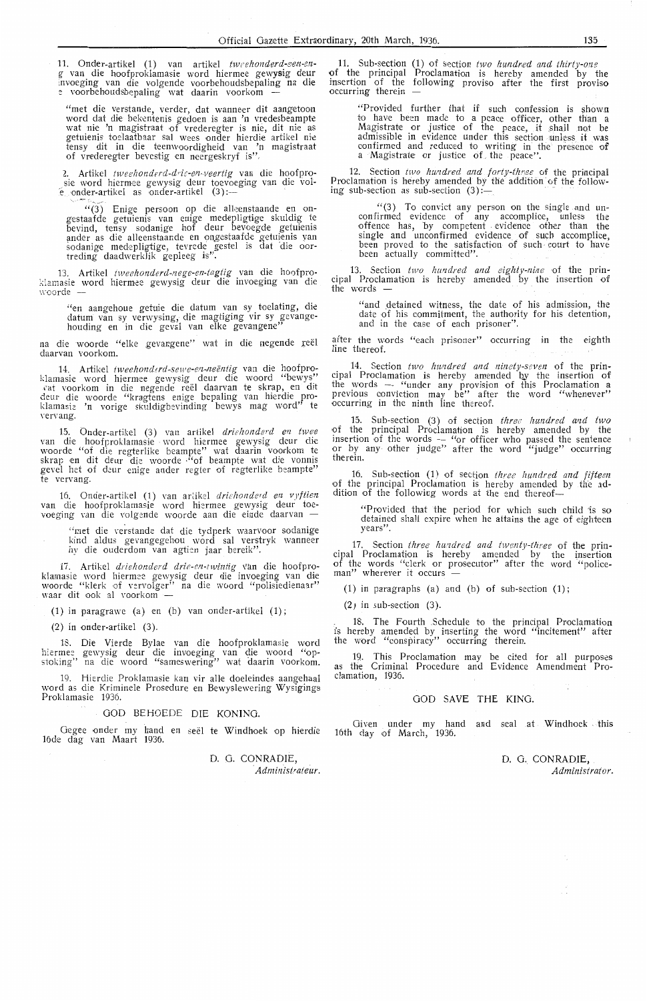11. Onder-artikel (1) van artikel tweehonderd-een-enextractivity van die hoofproklamasie word hiermee gewysig deur invoeging van die volgende voorbehoudsbepaling na die *e*voorbehoudsbepaling wat daarin voorkom -

"met die verstande, verder, dat wanneer dit aangetoon word dat die bekentenis gedoen is aan 'n vredesbeampte wat nie, toelaatbaar sal wees onder hierdie artikel nie tensy dit in die teenwoordigheid van 'n magistraat of vrederegter bevestig en neergeskryf is".

2. Artikel *tweehonderd-dric-en-veertig* van die hoofpro-<br>sie word hiermee gewysig deur toevoeging van die vol-<br>e onder-artikel as onder-artikel (3) :--<br> $\sqrt{(3)}$  Enige persoon op die alleenstaande en on-

"(3) Einge persoon op die aneenstaande en ongestaatde getuienis van enige medepligtige skuldig te bevind, tensy sodanige hof deur bevoegde getuienis ander as die alleenstaande en ongestaafde getuienis van sodanige medeplig

13. Artikel *tweehonderd-nege-en-tagtig* van die hoofproklamasie word hiermee gewysig deur die invoeging van die 11·oorde -

"en aangehoue getuie die datum van sy toelating, die datum van sy verwysing, die magtiging vir sy gevangehouding en in die geval van elke gevangene''

na die woorde "elke gevangene" wat in die negende reël daarvan voorkom.

14. Artikel *tweehonderd-sewe-en-neëntig* van die hoofproklamasie word hiermee gewysig deur die woord "bewys" vat voorkom in die negende reël daarvan te skrap, en dit deur die woorde "kragtens enige bepaling van hierdie proklamasie 'n vorige skuldigbevinding bewys mag word'' te<br>vervang.

15. Onder-artikel (3) van artikel *driehonderd en twee*<br>van die hoofproklamasie word hiermee gewysig deur die<br>woorde "of die regterlike beampte" wat daarin voorkom te<br>skrap en dit deur die woorde "of beampte wat die vonnis gevel het of deur enige ander regter of regterlike beampte" te vervang.

16. Onder-artikel (1) van artikel *driehonderd en vyftien* van die hoofproklamasie word hiermee gewysig deur toe-<br>voeging van die volgende woorde aan die einde daarvan —

" met die verstande dat die tydperk waarvoor sodanige<br>kind aldus gevangegehou word sal verstryk wanneer hy die ouderdom van agtien jaar bereik".

17. Artikel *driehonderd drie-en-twintig* van die hoofproklamasie word hiermee gewysig deur die invoeging van die<br>woorde "klerk of vervolger" na die woord "polisiedienaar"<br>waar dit ook al voorkom --

**(1) in** paragrawe (a) en (b) van onder-artikel (1) ;

(2) in onder-artikel (3).

18. Die Vierde Bylae van die hoofproklamasie word hiermee gewysig deur die invoeging van die woord "op-<br>stoking" na die woord "sameswering" wat daarin voorkom.

19. Hierdie Proklamasie kan vir alle doeleindes aangehaal word as die Kriminele Prosedure en Bewyslewering Wysigings Proklamasie 1936.

#### GOD BEHOEDE DIE KONING.

Oegee onder my hand en see! te Windhoek op hierdie l6<le dag van Maart 1936.

D. G. CONRADIE,  $Administrateur.$ 

**11.** Sub-section **(1)** of section *two hundred and thirty-one* of the principal Proclamation is hereby amended by the insertion of the following proviso after the first provis**o**<br>occurring therein —

"Provided further that if such confession is shown to have been made to a peace officer, other than a Magistrate or justice of the peace, it shall not be admissible in evidence under this section unless it was<br>confirmed and reduced to writing in the presence of<br>a Magistrate or justice of the peace".

12. Section *two hundred and forty-three* of the principal Proclamation is hereby amended by the addition of the following sub-section as sub-section  $(3)$ :-

'.'(3) To .convict any person on the single .and un- confirmed evidence of any accomplice, unless t he offence has, by competent evidence other than the single and unconfirmed evidence of such accomplice, been proved to the satisfaction of such court to have been actually committed".

13. Section *two hundred and eighty-nine* of the principal Proclamation is hereby amended by the insertion of the words -

"and detained witness, the date of his admission, the date of his commitment, the authority for his detention,<br>and in the case of each prisoner".

after the words "each prisoner" occurring in the eighth **line** thereof.

. 14. Section *two hundred and ninety-seven* of the **prin**cipal Proclamation is hereby amended b\_\_y the insertion of the words - "under any provision of this Proclamation a previous conviction may be" after the word "whenever" occurring in the ninth line thereof.

15. Sub-section (3) of section *three hundred and two* of the principal Proclamation is hereby amended by the insertion of the words - "or officer who passed the sentence<br>or by any other judge" after the word "judge" occurring therein.

16. Sub-section (1) of section *three hundred and fifteen* of the principal Proclamation is hereby amended by the addition of the following words at the end thereof-

"Provided that the period for which such child 'is so detained shall expire when he attains the age of eighteen **years".** 

. 17. Section *three hundred and twenty-three* of the principal Proclamation is hereby amended by the insertion of the words "clerk or prosecutor" after the word "police-<br>man" wherever it occurs —

(1) in paragraphs (a) and (b) of sub-section  $(1)$ ;

 $(2)$  in sub-section  $(3)$ .

. 18. The Fourth Schedule to the principal Proclamation is hereby amended by inserting the word "incitement" after the word "conspiracy" occurring therein.

19. This Proclamation may be cited for all purposes as the Criminal Procedure and Evidence Amendment Proclamation, 1936.

#### GOD SAVE THE KING.

Given under my hand and seal at Windhoek this 16th day of March, 1936.

> D. G. CONRADIE, *Administrator.*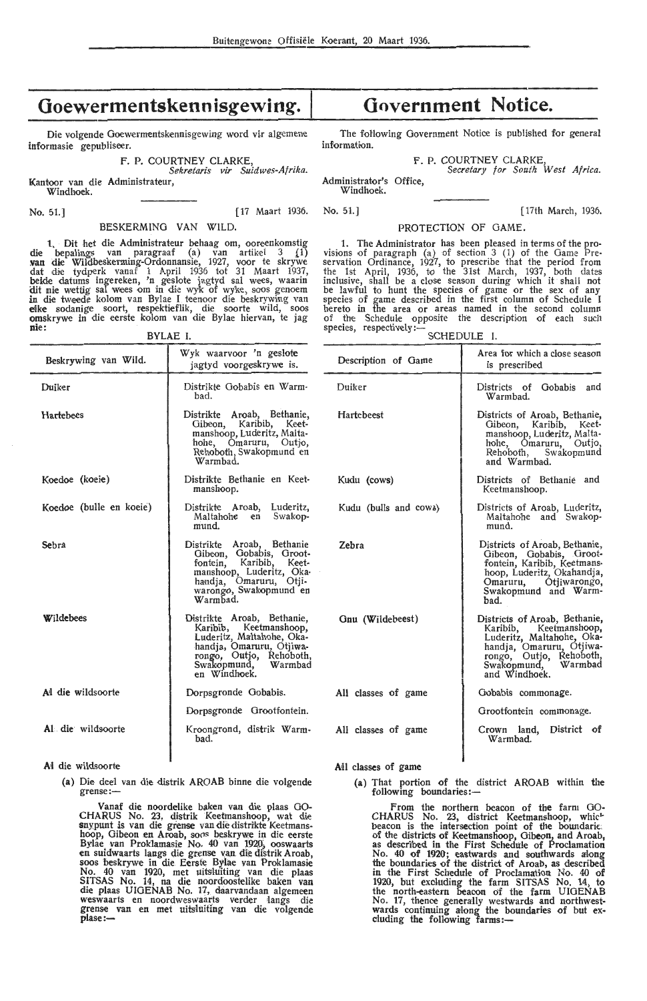## **Goewermentskennisgewing.** I

Die volgende Goewermentskennisgewing word vir algemene informasie gepubliseer.

F. P. COURTNEY CLARKE

*Sekre'taris vir Saidwes-Afrika.*  Kantoor van die Administrateur,

Windhoek.

BESKERMINO VAN WILD.

**1.** Dit het die Administrateur behaag om, ooreenkomstig die bepalings van paragraaf (a) van artikel 3  $(1)$ **~an die** Wildbeskerming-Ordonnansie, 1927, voor te skrywe dat die tydperk vanaf 1 April 1936 tot 31 Maart 1937, beide datums ingereken, 'n geslote jagtyd sal wees, waarin dit nie wettig sal wees om in die wyk of wyke, soos genoem **in** die tweede kolom van Bylae **1** te-enoor dte beskrywing van **elke** sodanige soort, respektieflik, die soorte wild, soos omskrywe in die eerste kolom van die Bylae hiervan, te jag **nie:**  BYLAE I.

| Beskrywing van Wild.    | Wyk waarvoor 'n geslote<br>jagtyd voorgeskrywe is.                                                                                                                              |
|-------------------------|---------------------------------------------------------------------------------------------------------------------------------------------------------------------------------|
| Duiker                  | Distrikte Gobabis en Warm-<br>had.                                                                                                                                              |
| Hartebees               | Distrikte Aroab, Bethanie,<br>Gibeon, Karibib, Keet-<br>manshoop, Luderitz, Malta-<br>hohe, Omaruru, Outjo,<br>Rehoboth, Swakopmund en<br>Warmhad.                              |
| Koedoe (koeie)          | Distrikte Bethanie en Keet-<br>manshoop.                                                                                                                                        |
| Koedoe (bulle en koeie) | Distrikte Aroab, Luderitz,<br>Maltahohe en Swakop-<br>mund.                                                                                                                     |
| Sehra                   | Distrikte Aroab, Bethanie<br>Gibeon, Gobabis, Groot-<br>fontein, Karibib, Keet-<br>manshoop, Luderitz, Oka-<br>handja, Omaruru, Otji-<br>warongo, Swakopmund en<br>Warmhad.     |
| Wildebees               | Distrikte Aroab, Bethanie,<br>Karibib, Keetmanshoop,<br>Luderitz, Maltahohe, Oka-<br>handja, Omaruru, Otjiwa-<br>rongo, Outjo, Rehoboth,<br>Swakopmund, Warmbad<br>en Windhoek. |
| Al die wildsoorte       | Dorpsgronde Gobabis.                                                                                                                                                            |
|                         | Dorpsgronde Grootfontein.                                                                                                                                                       |
| Al die wildsoorte       | Kroongrond, distrik Warm-<br>bad. I                                                                                                                                             |

**Al** die wildsoorte

**(a)** Die ded van die distrik AROAB binne die volgende grense:-

Vanaf die noordelike baken van die plaas 00- CHARUS No. 23, djstrik Keetmanshoop, wat die snxpunt is van die grense van die distrikte Keetmanshoop, Gibeon en Aroab, soos beskrywe in die eerste Bylae van Proklamasie No. 40 van 1920, ooswaarts en suidwaarts langs die grense van die distrik Aroab, soos beskrywe in die Eerste Bylae yan Proklamasie No. 40 van 1920, met uitsluiting van die plaas SITSAS No. 14, na die noordoostelike baken van<br>die plaas UIGENAB No. 17, daarvandaan algemeen weswaarts en noordweswaarts verder langs die grense van en met uitsluiting van die volgende<br>plase:—

## **Government Notice.**

The following Government Notice is published for general information.

F. P. COURTNEY CLARKE

Administrator's Office, *Secretary for South West Africa.* 

Windhoek.

No. 51.] [17 Maart 1936. No. 51.] [17th March, 1936.

PROTECTION OF GAME.

**1.** The Administrator has been pleased in terms of the provisions of paragraph (a) of section  $3$  (1) of the Game Preservation Ordinance, 1927, to prescribe that the period from the 1st April, 1936, to the 31st March, 1937, both dates inclusive, shall be a close season during which it shall not be lawful to hunt the species of game or the sex of any species of game described in the first column of Schedule I hereto in the area or areas named in the second column of the Schedule opposite the description of each such species, respectively:- SCHEDULE I.

| Description of Game   | Area for which a close season<br>is prescribed                                                                                                                                      |  |
|-----------------------|-------------------------------------------------------------------------------------------------------------------------------------------------------------------------------------|--|
| Duiker                | Districts of Gobabis and<br>Warmbad.                                                                                                                                                |  |
| <b>Hartebeest</b>     | Districts of Aroab, Bethanie,<br>Gibeon, Karibib, Keet-<br>manshoop, Luderitz, Malta-<br>hohe, Omaruru, Outjo,<br>Rehoboth, Swakopmund<br>and Warmbad.                              |  |
| Kudu (cows)           | Districts of Bethanie and<br>Keetmanshoop.                                                                                                                                          |  |
| Kudu (bulls and cows) | Districts of Aroab, Luderitz,<br>Maltahohe and Swakop-<br>mund.                                                                                                                     |  |
| Zehra                 | Districts of Aroab, Bethanie,<br>Gibeon, Gobabis, Groot-<br>fontein, Karibib, Keetmanshoop, Luderitz, Okahandja,<br>Omaruru, Ótjiwarongo,<br>Swakopmund and Warm-<br>had.           |  |
| Gnu (Wildebeest)      | Districts of Aroab, Bethanie,<br>Karibib, Keetmanshoop,<br>Luderitz, Maltahohe, Oka-<br>handja, Omaruru, Otjiwa-<br>rongo, Outjo, Rehoboth,<br>Swakopmund, Warmbad<br>and Windhoek. |  |
| All classes of game   | Gobabis commonage.                                                                                                                                                                  |  |
|                       | Grootfontein commonage.                                                                                                                                                             |  |
| All classes of game   | Crown land, District of<br>Warmbad.                                                                                                                                                 |  |

All classes of game

(a) That portion of the district AROAB within the following boundaries:-

l

From the northern beacon of the farm GO-CHARUS No. 23, district Keetmanshoop, which beacon is the intersection point of the boundaries<br>of the districts of Keetmanshoop, Gibeon, and Aroab,<br>as described in the First Schedule of Proclamation No. 40 of 1920; eastwards and southwards along the boundaries of the district of Aroab, as described in the First Schedule of Proclamation No. 40 of 1920; but exduding the farm SITSAS No. 14, to the north-eastern beacon of the farm UIGENAB No. 17, thence generally westwards and northwestwards continuing along the boundaries of but ex-<br>cluding the following farms:-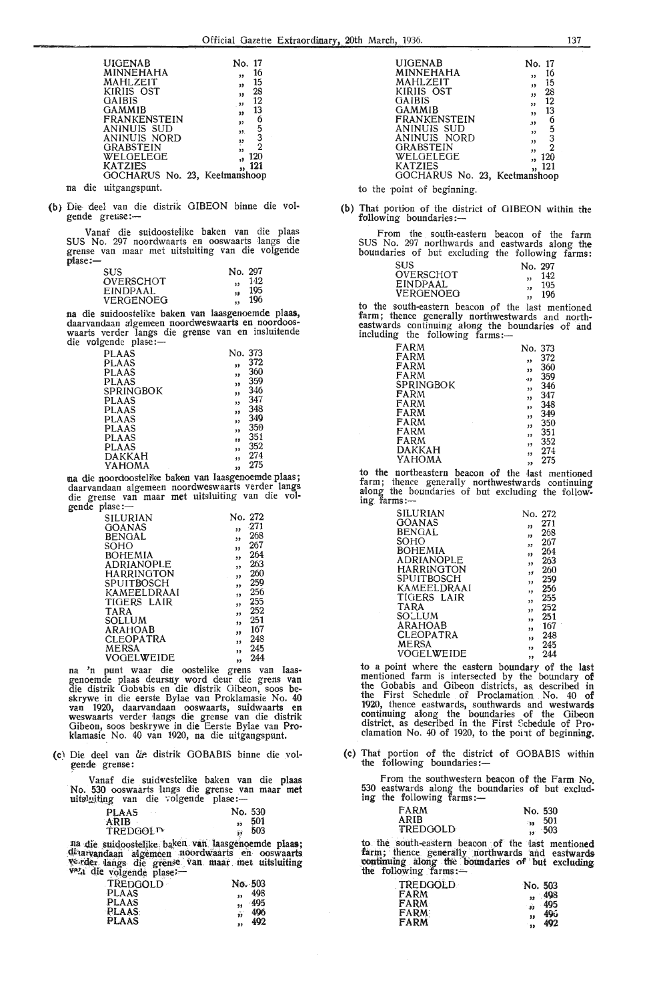| <b>UIGENAB</b><br>MINNEHAHA<br>MAHLZEIT<br>KIRIIS OST<br>GAIBIS<br>GAMMIB<br><b>FRANKENSTEIN</b><br>ANINUIS SUD<br>ANINUIS NORD | No. 17<br>16<br>,,<br>15<br>33<br>28<br>,,<br>12<br>$^{\circ}$<br>13<br>99<br>б<br>$^{\prime}$<br>5<br>99.<br>,, |
|---------------------------------------------------------------------------------------------------------------------------------|------------------------------------------------------------------------------------------------------------------|
| <b>GRABSTEIN</b>                                                                                                                | $\frac{3}{2}$                                                                                                    |
| WELGELEGE                                                                                                                       | ÿ3                                                                                                               |
| <b>KATZIES</b>                                                                                                                  | 120                                                                                                              |
| GOCHARUS No. 23, Keetmanshoop                                                                                                   | 121                                                                                                              |

- na die uitgangspunt.
- (b) Die- deel van die distrik GIBEON binne die volgende grense:-

Vanaf die suidoostelike baken van die plaas SUS No. 297 noordwaarts en ooswaarts Iangs die grense van maar met uitsluiting van die volgende  $n$ lase: $-$ 

| <b>SUS</b>       | No. 297   |
|------------------|-----------|
| <b>OVERSCHOT</b> | 142       |
| <b>EINDPAAL</b>  | 195<br>19 |
| VERGENOEG        | 196       |

na die suidoostelike baken van laasgenoemde plaas,<br>daarvandaan algemeen noordweswaarts en noordooswaarts verder langs die grense van en insluitende die volgende plase :-

| PLAAS              | No. 373 |
|--------------------|---------|
| <b>PLAAS</b><br>39 | 372     |
| PLAAS<br>33        | 360     |
| <b>PLAAS</b><br>55 | 359     |
| SPRINGBOK<br>,,    | 346     |
| PLAAS<br>,,        | 347     |
| <b>PLAAS</b><br>ý3 | 348     |
| PLAAS<br>,,        | 349     |
| PLAAS<br>,,        | 350     |
| PLAAS<br>33        | 351     |
| PLAAS<br>,,        | 352     |
| DAKKAH<br>13       | 274     |
| YAHOMA<br>,,       | 275     |

" <sup>275</sup> na die noovdioosteli:ke baken van laasg,enoemde plaas; daarvandaan algemeen noordweswaarts verder langs die grense van maar met uitsiluiting van die volgende plase :-

| SILURIAN          | No. 272                        |  |
|-------------------|--------------------------------|--|
| GOANAS            | $-271$<br>,,                   |  |
| <b>BENGAL</b>     | 268<br>,,                      |  |
| SOHO              | 267<br>33                      |  |
| <b>BOHEMIA</b>    | 264<br>,,                      |  |
| <b>ADRIANOPLE</b> | 263                            |  |
| <b>HARRINGTON</b> | ,,<br>260                      |  |
| SPUITBOSCH        | , 1<br>259                     |  |
|                   | ,,<br>256                      |  |
| KAMEELDRAAI       | ,,                             |  |
| TIGERS LAIR       | 255<br>$\overline{\mathbf{z}}$ |  |
| <b>TARA</b>       | 252<br>,,                      |  |
| SOLLUM            | 251<br>,,                      |  |
| <b>ARAHOAB</b>    | 167<br>"                       |  |
| <b>CLEOPATRA</b>  | 248<br>33                      |  |
| <b>MERSA</b>      | 245<br>,,                      |  |
| <b>VOGELWEIDE</b> | 244<br>,,                      |  |
|                   |                                |  |

na 'n punt waar die oostelike grens van laasgenoemde plaas deursny word deur die grens van die distrik Gobabis en die distrik Oibeon, soos beskrywe in die eerste Bylae van Proklamasie No. 40 van 1920, daarvandaan ooswaarts, suidwaarts en<br>weswaarts verder langs die grense van die distrik Gibeon, soos beskrywe in die Eerste Bylae van Proklamasie\_ No. 40 van 1920, na die uitgangspunt.

(c) Die deel van die distrik GOBABIS binne die volgende grense:

Vanaf die suidwestelike baken van die plaas No. 530 ooswaarts lings die grense van maar met<br>uitsl<u>uiting</u> van die 7olgende plase :-

| <b>PLAAS</b> | No. 530 |
|--------------|---------|
| ARIB         | 501     |
| TREDGOLD     | 503     |

TREDGOL<sup>T</sup> ,, 503<br>tta die suidoostelike baken van laasgenoemde plaas;<br><sup>détar</sup>vandaan algemeen noordwaarts en ooswaarts verder langs die grense van maar met uitsluiting v<sup>2</sup>4 die volgende plase;--

| <b>EXISTING PARTS.</b> |            |
|------------------------|------------|
| TREDGOLD               | No. 503    |
| <b>PLAAS</b>           | 498<br>99  |
| <b>PLAAS</b>           | -495<br>99 |
| <b>PLAAS</b>           | 496<br>ŵ   |
| <b>PLAAS</b>           | 492        |

| UIGENAB                            | No. 17              |
|------------------------------------|---------------------|
| MINNEHAHA                          | 16<br>,,            |
| MAHLZEIT                           | 15<br>,             |
| KIRIIS OST                         | 28<br>,,            |
| <b>GAIBIS</b>                      | 12<br>33            |
| GAMMIB                             | 13<br>,,            |
| <b>FRANKENSTEIN</b><br>ANINUIS SUD | 6<br>33             |
| ANINUIS NORD                       | ,,                  |
| GRABSTEIN                          | $\frac{5}{2}$<br>,, |
| WELGELEGE                          | ,,<br>120           |
| KATZIES                            | ,,<br>121           |
| GOCHARUS No. 23, Keetmanshoop      |                     |

to the point of beginning.

(b) That portion of the district of GIBEON within the following boundaries:-

F rom the south-eastern beacon of the farm SUS No. 297 northwards and eastwards along the **boundaries** of but excluding the following farms:

| SUS.             | No. 297   |
|------------------|-----------|
| <b>OVERSCHOT</b> | 142<br>,, |
| <b>EINDPAAL</b>  | 195<br>,, |
| VERGENOEG        | 196       |

to the south-eastern beacon of the last mentioned farm; thence generally northwestwards and north-eastwards continuing along the boundaries of and<br>including the following farms:—

| FARM      | No. 373 |     |
|-----------|---------|-----|
| FARM      | ,,      | 372 |
| FARM      | 33      | 360 |
| FARM      | -99     | 359 |
| SPRINGBOK | ,,      | 346 |
| FARM      | ,,      | 347 |
| FARM      | ,,      | 348 |
| FARM      | ,,      | 349 |
| FARM      | ,,      | 350 |
| FARM      | ,,      | 351 |
| FARM      | ,,      | 352 |
| DAKKAH    | ,,      | 274 |
| ҮАНОМА    | ,,      | 275 |

to the northeastern beacon of the last mentioned farm; thence generally northwestwards continuing along the boundaries of but excluding the follow-<br>ing farms:-

| SILURIAN          | No. 272   |
|-------------------|-----------|
| <b>GOANAS</b>     | 271       |
| <b>BENGAL</b>     | ,,<br>268 |
|                   | ,,        |
| SOHO              | 267<br>,, |
| BOHEMIA           | 264       |
| <b>ADRIANOPLE</b> | ,         |
|                   | 263<br>,, |
| HARRINGTON        | 260<br>,, |
| SPUITBOSCH        | 259       |
|                   | ,         |
| KAMEELDRAAI       | 256<br>,, |
| TIGERS LAIR       | 255       |
| <b>TARA</b>       | ,,<br>252 |
|                   | ,,        |
| SOLLUM            | 251<br>"  |
| ARAHOAB           | 167       |
| <b>CLEOPATRA</b>  | ,,        |
|                   | 248<br>95 |
| MERSA             | 245<br>,  |
| VOGELWEIDE        | 244       |
|                   | ,,        |

to a point where the eastern boundary of the last mentioned farm is intersected by the boundary of the Gobabis and Oibeon districts, as. described in the First Schedule of Proclamation No. 40 of 1920, thence eastwards, southwards and westwards continuing along the boundaries of the Gibeon district, as described in the First Schedule of Proclamation No. 40 of 1920, to the point of beginning.

(c) That portion of the district of OOBABIS within the following boundaries:-

From the southwestern beacon of the Farm No.<br>530 eastwards along the boundaries of but excluding the following farms:-

| <b>FARM</b> | No. 530           |
|-------------|-------------------|
| ARIB        | 501<br>$\sim 200$ |
| TREDGOLD    | -503              |

to the south-eastern beacon of the last mentioned farm; thence generally northwards and eastwards continuing along the boundaries of but excluding the following farms: $-$ 

| <b>TREDGOLD</b> | No. 503             |
|-----------------|---------------------|
| <b>FARM</b>     | , 498               |
| <b>FARM</b>     | 495<br>$\mathbf{a}$ |
| <b>FARM</b>     | 49ú<br>11           |
| FARM            | 492<br>$\bullet$    |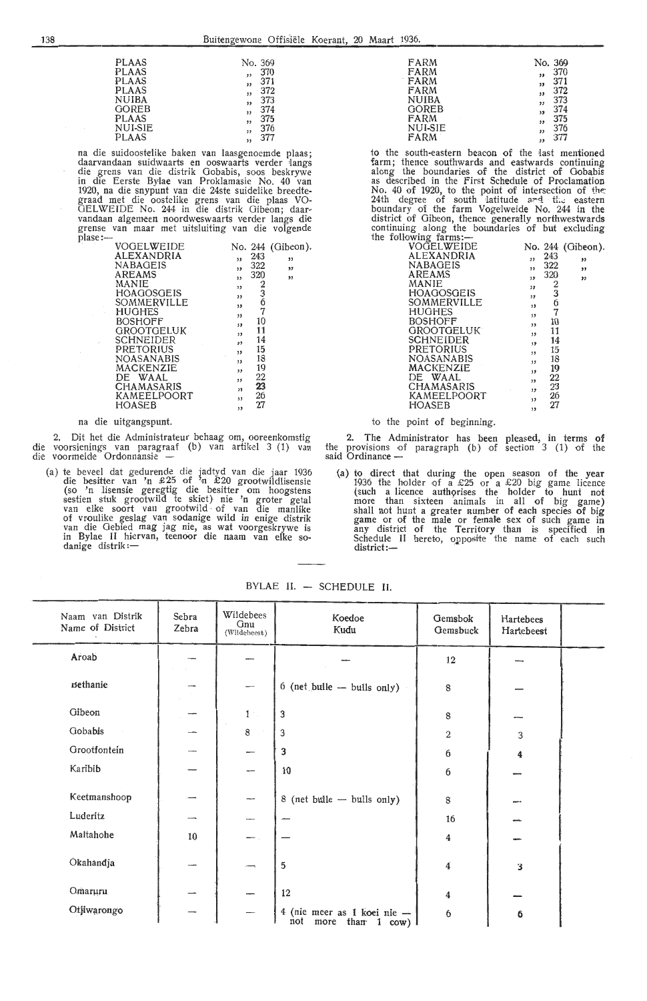| PLAAS   | No. 369                 |       |
|---------|-------------------------|-------|
| PLAAS   | $\overline{\mathbf{z}}$ | 370   |
| PLAAS   | $\overline{\mathbf{z}}$ | 371   |
| PLAAS   | $\overline{\mathbf{3}}$ | - 372 |
| NUIBA   | $\overline{\mathbf{1}}$ | 373   |
| GOREB   | $\overline{\mathbf{1}}$ | 374   |
| PLAAS   | ,,                      | 375   |
| NUI-SIE | 35                      | 376   |
| PLAAS   | ر د                     | 377   |
|         |                         |       |

PLAAS " <sup>377</sup> na die suidooste1ike baken van laasgenoemde plaas; daarvandaan suidwaarts en ooswaarts verder fangs die grens van die distrik Gobabis, soos beskrywe in die Eerste Bylae van Proklamasie No. 40 van 1920, na die snypunt van die 24ste suide1ike breedte- graad met die oostelike grens van die plaas VO-GEL WEIDE No. 244 in die distrik Gibeon; daarvandaan algemeen noordweswaarts verder langs die grense van maar met uitsluiting van die volgende plase:- . . VOGEL WEIDE

| VOGELWEIDE        |     |               | No. 244 (Gibeon). |
|-------------------|-----|---------------|-------------------|
| ALEXANDRIA        | ,,  | 243           | ,,                |
| <b>NABAGEIS</b>   | 33  | 322           | ,,                |
| <b>AREAMS</b>     | ,,  | 320           | ,,                |
| MANIE             | 35  |               |                   |
| HOAGOSGEIS        | 33  | $\frac{2}{3}$ |                   |
| SOMMERVILLE       | , 1 |               |                   |
| HUGHES            | ,,  | 7             |                   |
| <b>BOSHOFF</b>    | 53  | 10            |                   |
| <b>GROOTGELUK</b> | 53  | 11            |                   |
| <b>SCHNEIDER</b>  | , , | 14            |                   |
| PRETORIUS         | ,,  | 15            |                   |
| <b>NOASANABIS</b> | 35  | 18            |                   |
| MACKENZIE         | ,,  | 19            |                   |
| DE WAAL           | ,   | 22            |                   |
| <b>CHAMASARIS</b> | ,   | 23            |                   |
| KAMEELPOORT       | 33  | 26            |                   |
| HOASEB            | , , | 27            |                   |

#### na die uitgangspunt.

2. Dit het die Administrateur behaag om, ooreenkomstig die voorsienings van paragraaf (b) van artikel 3 (1) van die voormelde Ordonnansie -

(a) te beveel dat gedurende die jadtyd van die jaar 1936 die besitter van 'n £ 25 of 'n £20 grootwildlisensie (so 'n lisensie geregtig die besitter om hoogstens sestien stuk grootwild te skiet) nie 'n groter getal van elke soort van grootwild · of van die manlike of vroulike geslag van sodanige wild in enige distrik van die Gebied mag jag nie, as wat voorgeskrywe is in Bylae II hiervan, teenoor die naam van elke so-<br>danige distrik:—

| FARM         | No. 369   |
|--------------|-----------|
| FARM         | 370<br>,, |
| FARM         | 371<br>,, |
| FARM         | 372<br>,, |
| <b>NUIBA</b> | 373<br>,, |
| <b>GOREB</b> | 374<br>١, |
| FARM         | 375<br>,, |
| NUI-SIE      | 376<br>,, |
| FARM         | 377<br>,, |
|              |           |

to the south-eastern beacon of the last mentioned farm; thence southwards and eastwards continuing along the boundaries of the district of Gobabis as described in the First Schedule of Proclamation No. 40 of 1920, to the point of intersection of the: 24th degree of south latitude and the eastern boundary of the farm Vogelweide No. 244 in the district of Gibeon, thence generally northwestwards continuing along the boundaries of but excluding<br>the following farms:-

| VOQELWEIDE        |     |               | No. 244 (Gibeon). |
|-------------------|-----|---------------|-------------------|
| ALEXANDRIA        | ,   | 243           | ,,                |
| NABAGEIS          | ,,  | 322           | ,,                |
| AREAMS            | 55  | 320           | $\bullet$         |
| MANIE             | 33  | $\frac{2}{3}$ |                   |
| <b>HOAGOSGEIS</b> | 35  |               |                   |
| SOMMERVILLE       | 13  | 6             |                   |
| HUGHES            | 55  | 7             |                   |
| <b>BOSHOFF</b>    | , 1 | 10            |                   |
| <b>GROOTGELUK</b> | ,,  | 11            |                   |
| <b>SCHNEIDER</b>  | ,   | 14            |                   |
| PRETORIUS         | ,,  | 15            |                   |
| NOASANABIS        | ,,  | 18            |                   |
| MACKENZIE         | ,,  | 19            |                   |
| DE WAAL           | , 1 | 22            |                   |
| CHAMASARIS        | ,,  | 23            |                   |
| KAMEELPOORT       | ,,  | 26            |                   |
| HOASEB            | ,,  | 27            |                   |

#### to the point of beginning.

2. The Administrator has been pleased, in terms **of**  the provisions of paragraph (b) of section  $3$  (1) of the said Ordinance -

(a) to direct that during the open season of the year 1936 the holder of a £25 or a £20 big game licence (such a licence authorises the holder to hunt not more than sixteen animals in all of big game) shall not hunt a greater number of each species of big game or of the male or female sex of such game in any district of the Territory than is specified in Schedule II hereto, opposite the name of each such district:—

| Naam van Distrik<br>Name of District | Sebra<br>Zebra | Wildebees<br>Gnu<br>(Wildebeest) | Koedoe<br>Kudu                                                    | Gemsbok<br>Gemsbuck     | Hartebees<br>Hartebeest |  |
|--------------------------------------|----------------|----------------------------------|-------------------------------------------------------------------|-------------------------|-------------------------|--|
| Aroab                                |                |                                  |                                                                   | 12                      |                         |  |
| <b>Bethanie</b>                      |                |                                  | $6$ (net bulle $-$ bulls only)                                    | 8                       |                         |  |
| Gibeon                               |                | $1 -$                            | 3                                                                 | 8                       |                         |  |
| Gobabis                              |                | 8                                | 3                                                                 | $\boldsymbol{2}$        | 3                       |  |
| Grootfontein                         |                |                                  | 3                                                                 | 6                       | 4                       |  |
| Karibib                              |                | --                               | 10                                                                | 6                       |                         |  |
| Keetmanshoop                         |                | $\overline{\phantom{m}}$         | 8 (net bulle - bulls only)                                        | $8\,$                   |                         |  |
| Luderitz                             |                | --                               |                                                                   | 16                      |                         |  |
| Maltahohe                            | 10             |                                  |                                                                   | 4                       |                         |  |
| Okahandja                            |                | $\rightarrow$                    | $\overline{5}$                                                    | $\overline{\mathbf{4}}$ | 3                       |  |
| Omaruru                              |                |                                  | 12                                                                | $\boldsymbol{4}$        |                         |  |
| Otjiwarongo                          |                |                                  | 4 (nie meer as 1 koei nie -<br>not<br>than 1 cow) $\vert$<br>more | $\boldsymbol{6}$        | 6                       |  |

BYLAE II. - SCHEDULE II.